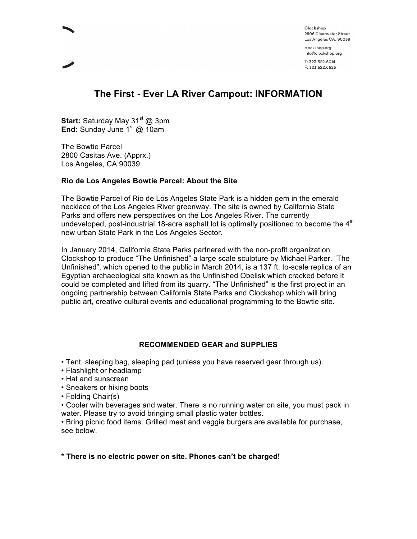clockshop.org

# **The First - Ever LA River Campout: INFORMATION**

**Start:** Saturday May 31<sup>st</sup> @ 3pm **End:** Sunday June 1st @ 10am

The Bowtie Parcel 2800 Casitas Ave. (Apprx.) Los Angeles, CA 90039

#### **Rio de Los Angeles Bowtie Parcel: About the Site**

The Bowtie Parcel of Rio de Los Angeles State Park is a hidden gem in the emerald necklace of the Los Angeles River greenway. The site is owned by California State Parks and offers new perspectives on the Los Angeles River. The currently undeveloped, post-industrial 18-acre asphalt lot is optimally positioned to become the  $4<sup>th</sup>$ new urban State Park in the Los Angeles Sector.

In January 2014, California State Parks partnered with the non-profit organization Clockshop to produce "The Unfinished" a large scale sculpture by Michael Parker. "The Unfinished", which opened to the public in March 2014, is a 137 ft. to-scale replica of an Egyptian archaeological site known as the Unfinished Obelisk which cracked before it could be completed and lifted from its quarry. "The Unfinished" is the first project in an ongoing partnership between California State Parks and Clockshop which will bring public art, creative cultural events and educational programming to the Bowtie site.

## **RECOMMENDED GEAR and SUPPLIES**

• Tent, sleeping bag, sleeping pad (unless you have reserved gear through us).

- Flashlight or headlamp
- Hat and sunscreen
- Sneakers or hiking boots
- Folding Chair(s)

• Cooler with beverages and water. There is no running water on site, you must pack in water. Please try to avoid bringing small plastic water bottles.

• Bring picnic food items. Grilled meat and veggie burgers are available for purchase, see below.

## **\* There is no electric power on site. Phones can't be charged!**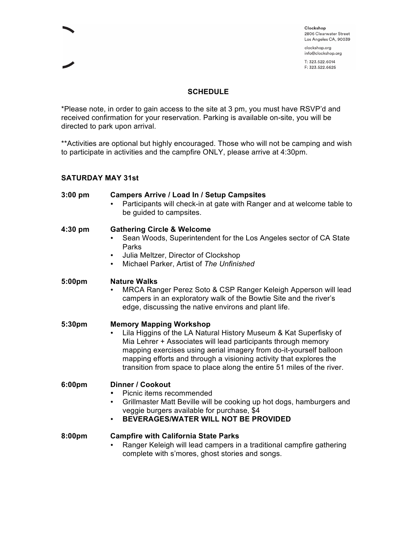clockshop.org

#### **SCHEDULE**

\*Please note, in order to gain access to the site at 3 pm, you must have RSVP'd and received confirmation for your reservation. Parking is available on-site, you will be directed to park upon arrival.

\*\*Activities are optional but highly encouraged. Those who will not be camping and wish to participate in activities and the campfire ONLY, please arrive at 4:30pm.

#### **SATURDAY MAY 31st**

| 3:00 pm | <b>Campers Arrive / Load In / Setup Campsites</b><br>Participants will check-in at gate with Ranger and at welcome table to<br>be guided to campsites.                                                                                                                                                                                                                                     |
|---------|--------------------------------------------------------------------------------------------------------------------------------------------------------------------------------------------------------------------------------------------------------------------------------------------------------------------------------------------------------------------------------------------|
| 4:30 pm | <b>Gathering Circle &amp; Welcome</b><br>Sean Woods, Superintendent for the Los Angeles sector of CA State<br>Parks<br>Julia Meltzer, Director of Clockshop<br>$\bullet$<br>Michael Parker, Artist of The Unfinished<br>$\bullet$                                                                                                                                                          |
| 5:00pm  | <b>Nature Walks</b><br>MRCA Ranger Perez Soto & CSP Ranger Keleigh Apperson will lead<br>campers in an exploratory walk of the Bowtie Site and the river's<br>edge, discussing the native environs and plant life.                                                                                                                                                                         |
| 5:30pm  | <b>Memory Mapping Workshop</b><br>Lila Higgins of the LA Natural History Museum & Kat Superfisky of<br>Mia Lehrer + Associates will lead participants through memory<br>mapping exercises using aerial imagery from do-it-yourself balloon<br>mapping efforts and through a visioning activity that explores the<br>transition from space to place along the entire 51 miles of the river. |
| 6:00pm  | <b>Dinner / Cookout</b><br>Picnic items recommended<br>Grillmaster Matt Beville will be cooking up hot dogs, hamburgers and<br>$\bullet$<br>veggie burgers available for purchase, \$4<br>BEVERAGES/WATER WILL NOT BE PROVIDED<br>$\bullet$                                                                                                                                                |
| 8:00pm  | <b>Campfire with California State Parks</b><br>Ranger Keleigh will lead campers in a traditional campfire gathering<br>complete with s'mores, ghost stories and songs.                                                                                                                                                                                                                     |
|         |                                                                                                                                                                                                                                                                                                                                                                                            |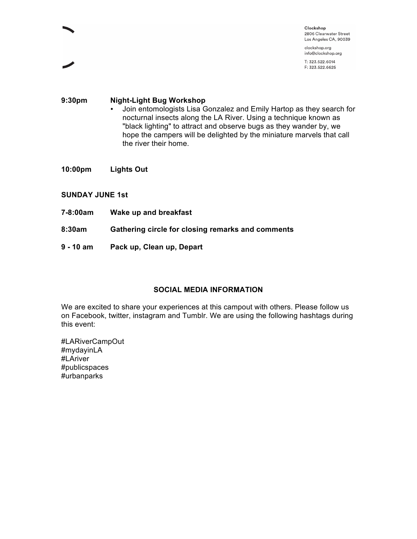clockshop.org

# **9:30pm Night-Light Bug Workshop** • Join entomologists Lisa Gonzalez and Emily Hartop as they search for nocturnal insects along the LA River. Using a technique known as "black lighting" to attract and observe bugs as they wander by, we hope the campers will be delighted by the miniature marvels that call the river their home.

- **10:00pm Lights Out**
- **SUNDAY JUNE 1st**
- **7-8:00am Wake up and breakfast**
- **8:30am Gathering circle for closing remarks and comments**
- **9 10 am Pack up, Clean up, Depart**

## **SOCIAL MEDIA INFORMATION**

We are excited to share your experiences at this campout with others. Please follow us on Facebook, twitter, instagram and Tumblr. We are using the following hashtags during this event:

#LARiverCampOut #mydayinLA #LAriver #publicspaces #urbanparks